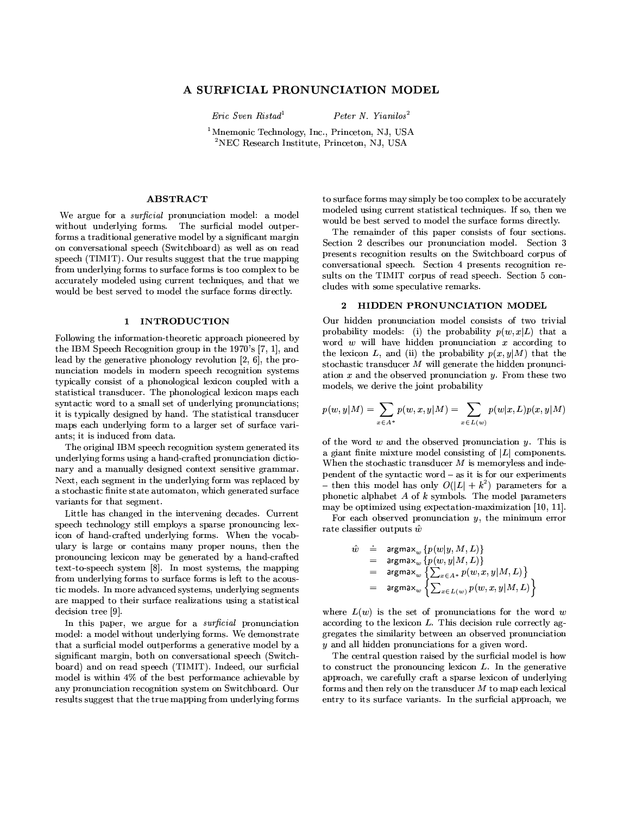# A SURFICIAL PRONUNCIATION MODEL

 $\emph{Eric Sven Ristađ}^1$ 

Peter N. Yianilos<sup>2</sup>

<sup>1</sup>Mnemonic Technology, Inc., Princeton, NJ, USA  ${}^{2}$ NEC Research Institute, Princeton, NJ, USA

### **ABSTRACT**

We argue for a *surficial* pronunciation model: a model without underlying forms. The surficial model outperforms a traditional generative model by a significant margin on conversational speech (Switchboard) as well as on read speech (TIMIT). Our results suggest that the true mapping from underlying forms to surface forms is too complex to be accurately modeled using current techniques, and that we would be best served to model the surface forms directly.

#### 1 INTRODUCTION

Following the information-theoretic approach pioneered by the IBM Speech Recognition group in the 1970's [7, 1], and lead by the generative phonology revolution  $[2, 6]$ , the pronunciation models in modern speech recognition systems typically consist of a phonological lexicon coupled with a statistical transducer. The phonological lexicon maps each syntactic word to a small set of underlying pronunciations; it is typically designed by hand. The statistical transducer maps each underlying form to a larger set of surface variants, it is induced from data.

The original IBM speech recognition system generated its underlying forms using a hand-crafted pronunciation dictionary and a manually designed context sensitive grammar. Next, each segment in the underlying form was replaced by a stochastic finite state automaton, which generated surface variants for that segment.

Little has changed in the intervening decades. Current speech technology still employs a sparse pronouncing lexicon of hand-crafted underlying forms. When the vocabulary is large or contains many proper nouns, then the pronouncing lexicon may be generated by a hand-crafted text-to-speech system [8]. In most systems, the mapping from underlying forms to surface forms is left to the acoustic models. In more advanced systems, underlying segments are mapped to their surface realizations using a statistical decision tree [9].

In this paper, we argue for a *surficial* pronunciation model: a model without underlying forms. We demonstrate that a surficial model outperforms a generative model by a significant margin, both on conversational speech (Switchboard) and on read speech (TIMIT). Indeed, our surficial model is within 4% of the best performance achievable by any pronunciation recognition system on Switchboard. Our results suggest that the true mapping from underlying forms to surface forms may simply be too complex to be accurately modeled using current statistical techniques. If so, then we would be best served to model the surface forms directly.

The remainder of this paper consists of four sections. Section 2 describes our pronunciation model. Section 3 presents recognition results on the Switchboard corpus of conversational speech. Section 4 presents recognition results on the TIMIT corpus of read speech. Section 5 concludes with some speculative remarks.

#### 2 HIDDEN PRONUNCIATION MODEL

Our hidden pronunciation model consists of two trivial probability models: (i) the probability  $p(w, x|L)$  that a word  $w$  will have hidden pronunciation  $x$  according to the lexicon L, and (ii) the probability  $p(x, y|M)$  that the stochastic transducer  $M$  will generate the hidden pronunciation  $x$  and the observed pronunciation  $y$ . From these two models, we derive the joint probability

$$
p(w,y|M)=\sum_{x\in A^*}p(w,x,y|M)=\sum_{x\in L(w)}p(w|x,L)p(x,y|M)
$$

of the word  $w$  and the observed pronunciation  $y$ . This is a giant finite mixture model consisting of  $|L|$  components. When the stochastic transducer  $M$  is memoryless and independent of the syntactic word - as it is for our experiments - then this model has only  $O(|L| + k^2)$  parameters for a phonetic alphabet  $A$  of  $k$  symbols. The model parameters may be optimized using expectation-maximization [10, 11].

For each observed pronunciation  $y$ , the minimum error rate classifier outputs  $\hat{w}$ 

$$
\begin{array}{rcl} \hat{w} & = & \text{argmax}_{w} \left\{ p(w|y,M,L) \right\} \\ & = & \text{argmax}_{w} \left\{ p(w,y|M,L) \right\} \\ & = & \text{argmax}_{w} \left\{ \sum_{x \in A^*} p(w,x,y|M,L) \right\} \\ & = & \text{argmax}_{w} \left\{ \sum_{x \in L(w)} p(w,x,y|M,L) \right\} \end{array}
$$

where  $L(w)$  is the set of pronunciations for the word w according to the lexicon  $L$ . This decision rule correctly aggregates the similarity between an observed pronunciation  $y$  and all hidden pronunciations for a given word.

The central question raised by the surficial model is how to construct the pronouncing lexicon  $L$ . In the generative approach, we carefully craft a sparse lexicon of underlying forms and then rely on the transducer  $M$  to map each lexical entry to its surface variants. In the surficial approach, we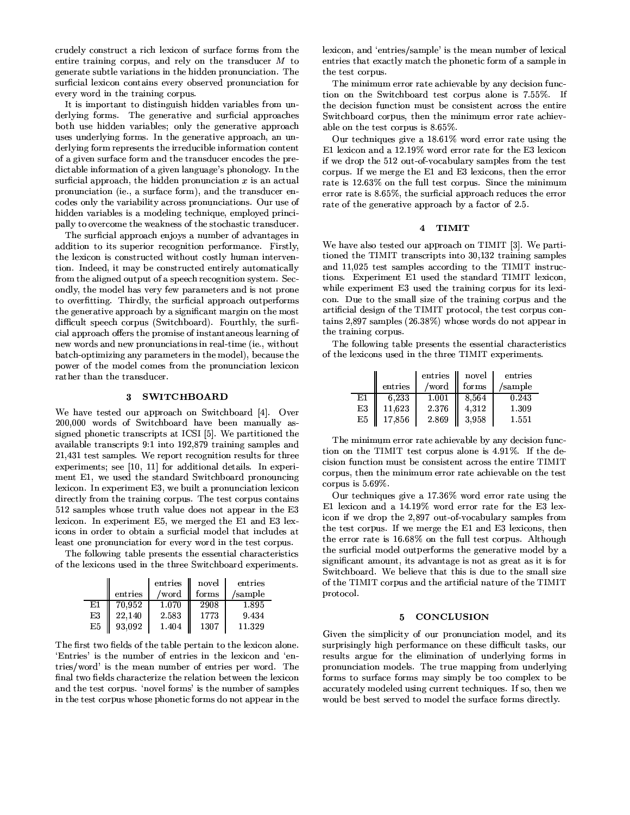crudely construct a rich lexicon of surface forms from the entire training corpus, and rely on the transducer  $M$  to generate subtle variations in the hidden pronunciation. The surficial lexicon contains every observed pronunciation for every word in the training corpus.

It is important to distinguish hidden variables from underlying forms. The generative and surficial approaches both use hidden variables; only the generative approach uses underlying forms. In the generative approach, an underlying form represents the irreducible information content of a given surface form and the transducer encodes the predictable information of a given language's phonology. In the surficial approach, the hidden pronunciation  $x$  is an actual pronunciation (ie., a surface form), and the transducer encodes only the variability across pronunciations. Our use of hidden variables is a modeling technique, employed principally to overcome the weakness of the stochastic transducer.

The surficial approach enjoys a number of advantages in addition to its superior recognition performance. Firstly, the lexicon is constructed without costly human intervention. Indeed, it may be constructed entirely automatically from the aligned output of a speech recognition system. Secondly, the model has very few parameters and is not prone to overfitting. Thirdly, the surficial approach outperforms the generative approach by a significant margin on the most difficult speech corpus (Switchboard). Fourthly, the surficial approach offers the promise of instantaneous learning of new words and new pronunciations in real-time (ie., without batch-optimizing any parameters in the model), because the power of the model comes from the pronunciation lexicon rather than the transducer.

### 3 SWITCHBOARD

We have tested our approach on Switchboard [4]. Over 200,000 words of Switchboard have been manually assigned phonetic transcripts at ICSI [5]. We partitioned the available transcripts 9:1 into 192,879 training samples and 21,431 test samples. We report recognition results for three experiments; see [10, 11] for additional details. In experiment E1, we used the standard Switchboard pronouncing lexicon. In experiment E3, we built a pronunciation lexicon directly from the training corpus. The test corpus contains 512 samples whose truth value does not appear in the E3 lexicon. In experiment E5, we merged the E1 and E3 lexicons in order to obtain a surficial model that includes at least one pronunciation for every word in the test corpus.

The following table presents the essential characteristics of the lexicons used in the three Switchboard experiments.

|    |         | entries | novel | entries |
|----|---------|---------|-------|---------|
|    | entries | /word   | forms | /sample |
| E1 | 70,952  | 1.070   | 2908  | 1.895   |
| E3 | 22.140  | 2.583   | 1773  | 9.434   |
| E5 | 93,092  | 1.404   | 1307  | 11.329  |

The first two fields of the table pertain to the lexicon alone. 'Entries' is the number of entries in the lexicon and 'entries/word' is the mean number of entries per word. The final two fields characterize the relation between the lexicon and the test corpus. 'novel forms' is the number of samples in the test corpus whose phonetic forms do not appear in the lexicon, and 'entries/sample' is the mean number of lexical entries that exactly match the phonetic form of a sample in the test corpus.

The minimum error rate achievable by any decision function on the Switchboard test corpus alone is 7.55%. If the decision function must be consistent across the entire Switchboard corpus, then the minimum error rate achievable on the test corpus is  $8.65\%$ .

Our techniques give a  $18.61\%$  word error rate using the E1 lexicon and a 12.19% word error rate for the E3 lexicon if we drop the 512 out-of-vocabulary samples from the test corpus. If we merge the E1 and E3 lexicons, then the error rate is 12.63% on the full test corpus. Since the minimum error rate is 8.65%, the surficial approach reduces the error rate of the generative approach by a factor of 2.5.

#### 4 TIMIT

We have also tested our approach on TIMIT [3]. We partitioned the TIMIT transcripts into 30,132 training samples and 11,025 test samples according to the TIMIT instructions. Experiment E1 used the standard TIMIT lexicon, while experiment E3 used the training corpus for its lexicon. Due to the small size of the training corpus and the artificial design of the TIMIT protocol, the test corpus contains 2,897 samples (26.38%) whose words do not appear in the training corpus.

The following table presents the essential characteristics of the lexicons used in the three TIMIT experiments.

|    |         | entries | novel | entries |
|----|---------|---------|-------|---------|
|    | entries | /word   | forms | /sample |
| E1 | 6.233   | 1.001   | 8.564 | 0.243   |
| E3 | 11.623  | 2 3 7 6 | 4.312 | 1.309   |
| E5 | 17.856  | 2869    | 3.958 | 1.551   |

The minimum error rate achievable by any decision function on the TIMIT test corpus alone is 4.91%. If the decision function must be consistent across the entire TIMIT corpus, then the minimum error rate achievable on the test corpus is  $5.69\%$ .

Our techniques give a 17.36% word error rate using the E1 lexicon and a 14.19% word error rate for the E3 lexicon if we drop the 2,897 out-of-vocabulary samples from the test corpus. If we merge the E1 and E3 lexicons, then the error rate is 16.68% on the full test corpus. Although the surficial model outperforms the generative model by a significant amount, its advantage is not as great as it is for Switchboard. We believe that this is due to the small size of the TIMIT corpus and the artificial nature of the TIMIT protocol.

#### **CONCLUSION** 5

Given the simplicity of our pronunciation model, and its surprisingly high performance on these difficult tasks, our results argue for the elimination of underlying forms in pronunciation models. The true mapping from underlying forms to surface forms may simply be too complex to be accurately modeled using current techniques. If so, then we would be best served to model the surface forms directly.